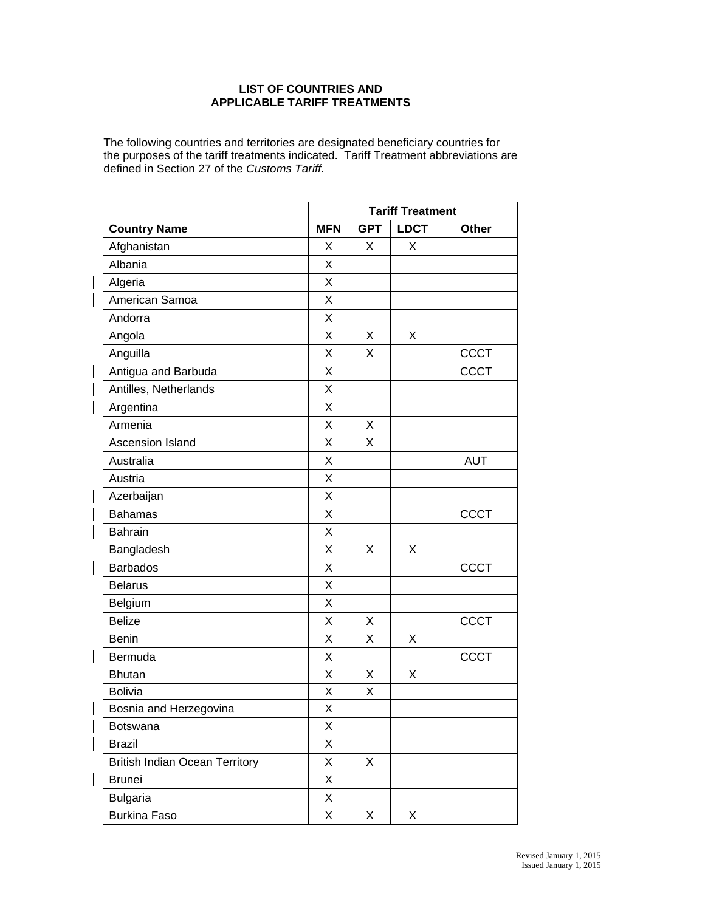## **LIST OF COUNTRIES AND APPLICABLE TARIFF TREATMENTS**

The following countries and territories are designated beneficiary countries for the purposes of the tariff treatments indicated. Tariff Treatment abbreviations are defined in Section 27 of the *Customs Tariff*.

|                                       |            | <b>Tariff Treatment</b> |             |             |  |
|---------------------------------------|------------|-------------------------|-------------|-------------|--|
| <b>Country Name</b>                   | <b>MFN</b> | <b>GPT</b>              | <b>LDCT</b> | Other       |  |
| Afghanistan                           | X          | X                       | X           |             |  |
| Albania                               | X          |                         |             |             |  |
| Algeria                               | X          |                         |             |             |  |
| American Samoa                        | X          |                         |             |             |  |
| Andorra                               | X          |                         |             |             |  |
| Angola                                | X          | X                       | X           |             |  |
| Anguilla                              | X          | х                       |             | <b>CCCT</b> |  |
| Antigua and Barbuda                   | X          |                         |             | <b>CCCT</b> |  |
| Antilles, Netherlands                 | X          |                         |             |             |  |
| Argentina                             | X          |                         |             |             |  |
| Armenia                               | X          | Χ                       |             |             |  |
| Ascension Island                      | X          | X                       |             |             |  |
| Australia                             | X          |                         |             | <b>AUT</b>  |  |
| Austria                               | X          |                         |             |             |  |
| Azerbaijan                            | X          |                         |             |             |  |
| <b>Bahamas</b>                        | X          |                         |             | <b>CCCT</b> |  |
| <b>Bahrain</b>                        | X          |                         |             |             |  |
| Bangladesh                            | X          | Χ                       | X           |             |  |
| <b>Barbados</b>                       | Χ          |                         |             | <b>CCCT</b> |  |
| <b>Belarus</b>                        | X          |                         |             |             |  |
| Belgium                               | Χ          |                         |             |             |  |
| <b>Belize</b>                         | X          | X                       |             | <b>CCCT</b> |  |
| <b>Benin</b>                          | X          | X                       | X           |             |  |
| Bermuda                               | X          |                         |             | <b>CCCT</b> |  |
| <b>Bhutan</b>                         | X          | X                       | Χ           |             |  |
| <b>Bolivia</b>                        | X          | Χ                       |             |             |  |
| Bosnia and Herzegovina                | Χ          |                         |             |             |  |
| Botswana                              | X          |                         |             |             |  |
| <b>Brazil</b>                         | X          |                         |             |             |  |
| <b>British Indian Ocean Territory</b> | Χ          | X                       |             |             |  |
| <b>Brunei</b>                         | X          |                         |             |             |  |
| <b>Bulgaria</b>                       | X          |                         |             |             |  |
| Burkina Faso                          | X          | X                       | X           |             |  |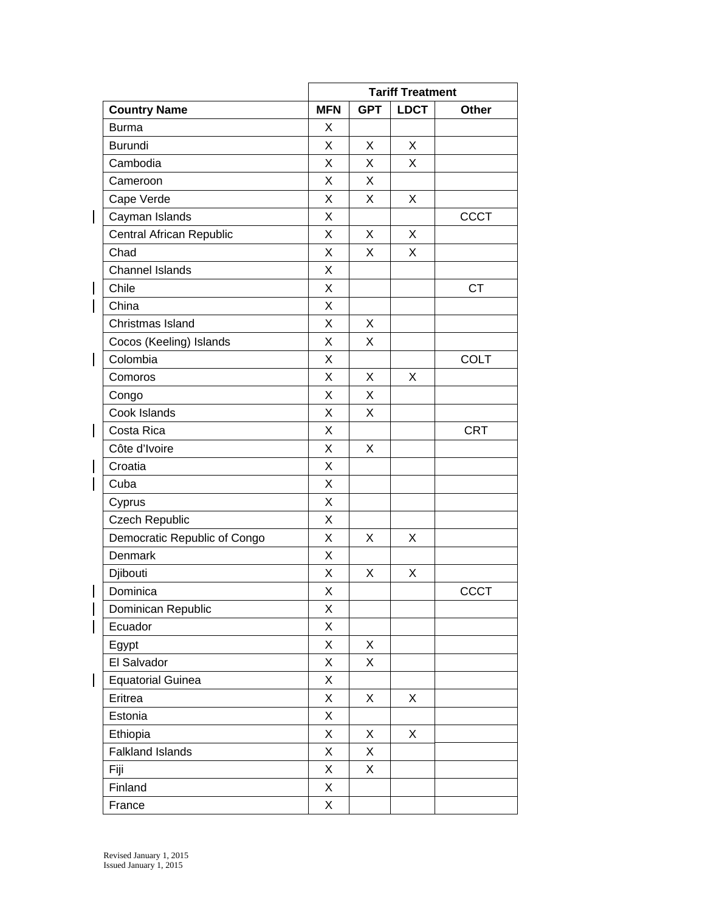|                              | <b>Tariff Treatment</b> |            |             |             |
|------------------------------|-------------------------|------------|-------------|-------------|
| <b>Country Name</b>          | <b>MFN</b>              | <b>GPT</b> | <b>LDCT</b> | Other       |
| <b>Burma</b>                 | X                       |            |             |             |
| <b>Burundi</b>               | X                       | X          | X           |             |
| Cambodia                     | X                       | X          | X           |             |
| Cameroon                     | Χ                       | X          |             |             |
| Cape Verde                   | X                       | X          | X           |             |
| Cayman Islands               | Χ                       |            |             | <b>CCCT</b> |
| Central African Republic     | X                       | X          | X           |             |
| Chad                         | Χ                       | X          | X           |             |
| <b>Channel Islands</b>       | X                       |            |             |             |
| Chile                        | X                       |            |             | <b>CT</b>   |
| China                        | Χ                       |            |             |             |
| Christmas Island             | X                       | X          |             |             |
| Cocos (Keeling) Islands      | X                       | X          |             |             |
| Colombia                     | Χ                       |            |             | <b>COLT</b> |
| Comoros                      | X                       | X          | X           |             |
| Congo                        | Χ                       | X          |             |             |
| Cook Islands                 | Χ                       | X          |             |             |
| Costa Rica                   | Χ                       |            |             | <b>CRT</b>  |
| Côte d'Ivoire                | X                       | X          |             |             |
| Croatia                      | Χ                       |            |             |             |
| Cuba                         | X                       |            |             |             |
| Cyprus                       | X                       |            |             |             |
| <b>Czech Republic</b>        | X                       |            |             |             |
| Democratic Republic of Congo | X                       | X          | X           |             |
| Denmark                      | Χ                       |            |             |             |
| Djibouti                     | X                       | X          | X           |             |
| Dominica                     | X                       |            |             | <b>CCCT</b> |
| Dominican Republic           | Χ                       |            |             |             |
| Ecuador                      | X                       |            |             |             |
| Egypt                        | X                       | X          |             |             |
| El Salvador                  | Χ                       | X          |             |             |
| <b>Equatorial Guinea</b>     | Χ                       |            |             |             |
| Eritrea                      | Χ                       | X          | X           |             |
| Estonia                      | X                       |            |             |             |
| Ethiopia                     | Χ                       | X          | X           |             |
| <b>Falkland Islands</b>      | Χ                       | X          |             |             |
| Fiji                         | Χ                       | X          |             |             |
| Finland                      | Χ                       |            |             |             |
| France                       | Χ                       |            |             |             |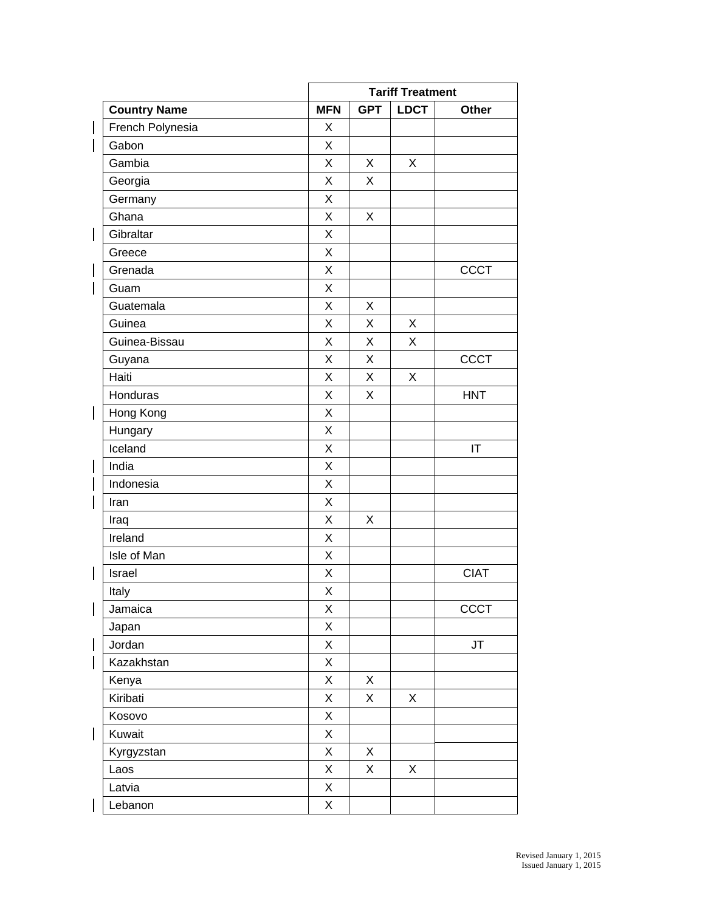|                     |             | <b>Tariff Treatment</b> |             |             |
|---------------------|-------------|-------------------------|-------------|-------------|
| <b>Country Name</b> | <b>MFN</b>  | <b>GPT</b>              | <b>LDCT</b> | Other       |
| French Polynesia    | X           |                         |             |             |
| Gabon               | X           |                         |             |             |
| Gambia              | X           | X                       | X           |             |
| Georgia             | X           | X                       |             |             |
| Germany             | X           |                         |             |             |
| Ghana               | X           | X                       |             |             |
| Gibraltar           | Χ           |                         |             |             |
| Greece              | Χ           |                         |             |             |
| Grenada             | X           |                         |             | <b>CCCT</b> |
| Guam                | X           |                         |             |             |
| Guatemala           | X           | X                       |             |             |
| Guinea              | X           | X                       | X           |             |
| Guinea-Bissau       | X           | X                       | X           |             |
| Guyana              | X           | X                       |             | CCCT        |
| Haiti               | X           | X                       | X           |             |
| Honduras            | X           | X                       |             | <b>HNT</b>  |
| Hong Kong           | X           |                         |             |             |
| Hungary             | X           |                         |             |             |
| Iceland             | X           |                         |             | IT          |
| India               | X           |                         |             |             |
| Indonesia           | X           |                         |             |             |
| Iran                | X           |                         |             |             |
| Iraq                | X           | X                       |             |             |
| Ireland             | X           |                         |             |             |
| Isle of Man         | Χ           |                         |             |             |
| Israel              | Χ           |                         |             | <b>CIAT</b> |
| Italy               | $\mathsf X$ |                         |             |             |
| Jamaica             | Χ           |                         |             | CCCT        |
| Japan               | X           |                         |             |             |
| Jordan              | X           |                         |             | JT          |
| Kazakhstan          | X           |                         |             |             |
| Kenya               | X           | X                       |             |             |
| Kiribati            | X           | X                       | X           |             |
| Kosovo              | X           |                         |             |             |
| Kuwait              | X           |                         |             |             |
| Kyrgyzstan          | X           | X                       |             |             |
| Laos                | X           | X                       | X           |             |
| Latvia              | Χ           |                         |             |             |
| Lebanon             | X           |                         |             |             |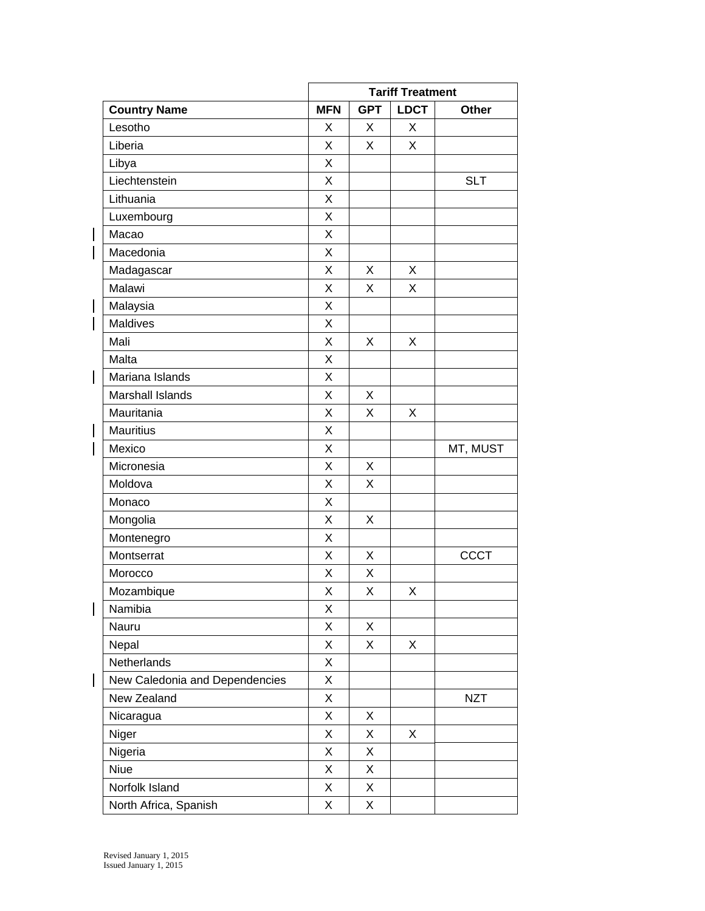|                          |                                | <b>Tariff Treatment</b> |            |             |             |
|--------------------------|--------------------------------|-------------------------|------------|-------------|-------------|
|                          | <b>Country Name</b>            | <b>MFN</b>              | <b>GPT</b> | <b>LDCT</b> | Other       |
| Lesotho                  |                                | X                       | Χ          | X           |             |
| Liberia                  |                                | X                       | X          | X           |             |
| Libya                    |                                | X                       |            |             |             |
| Liechtenstein            |                                | X                       |            |             | <b>SLT</b>  |
| Lithuania                |                                | X                       |            |             |             |
| Luxembourg               |                                | X                       |            |             |             |
| Macao                    |                                | X                       |            |             |             |
| Macedonia                |                                | X                       |            |             |             |
| Madagascar               |                                | Χ                       | X          | X           |             |
| Malawi                   |                                | X                       | X          | X           |             |
| Malaysia                 |                                | X                       |            |             |             |
| Maldives                 |                                | X                       |            |             |             |
| Mali                     |                                | X                       | X          | X           |             |
| Malta                    |                                | X                       |            |             |             |
| $\overline{\phantom{a}}$ | Mariana Islands                | Χ                       |            |             |             |
|                          | Marshall Islands               | X                       | X          |             |             |
| Mauritania               |                                | X                       | X          | X           |             |
| <b>Mauritius</b>         |                                | Χ                       |            |             |             |
| Mexico                   |                                | X                       |            |             | MT, MUST    |
| Micronesia               |                                | X                       | X          |             |             |
| Moldova                  |                                | Χ                       | X          |             |             |
| Monaco                   |                                | X                       |            |             |             |
| Mongolia                 |                                | X                       | X          |             |             |
| Montenegro               |                                | X                       |            |             |             |
| Montserrat               |                                | Χ                       | X          |             | <b>CCCT</b> |
| Morocco                  |                                | X                       | X          |             |             |
| Mozambique               |                                | X                       | Χ          | X           |             |
| Namibia                  |                                | Χ                       |            |             |             |
| Nauru                    |                                | X                       | X          |             |             |
| Nepal                    |                                | X                       | X          | X           |             |
| Netherlands              |                                | Χ                       |            |             |             |
|                          | New Caledonia and Dependencies | X                       |            |             |             |
| New Zealand              |                                | Χ                       |            |             | <b>NZT</b>  |
| Nicaragua                |                                | X                       | Χ          |             |             |
| Niger                    |                                | X                       | X          | X           |             |
| Nigeria                  |                                | Χ                       | Χ          |             |             |
| <b>Niue</b>              |                                | Χ                       | X          |             |             |
| Norfolk Island           |                                | X                       | X          |             |             |
|                          | North Africa, Spanish          | X                       | X          |             |             |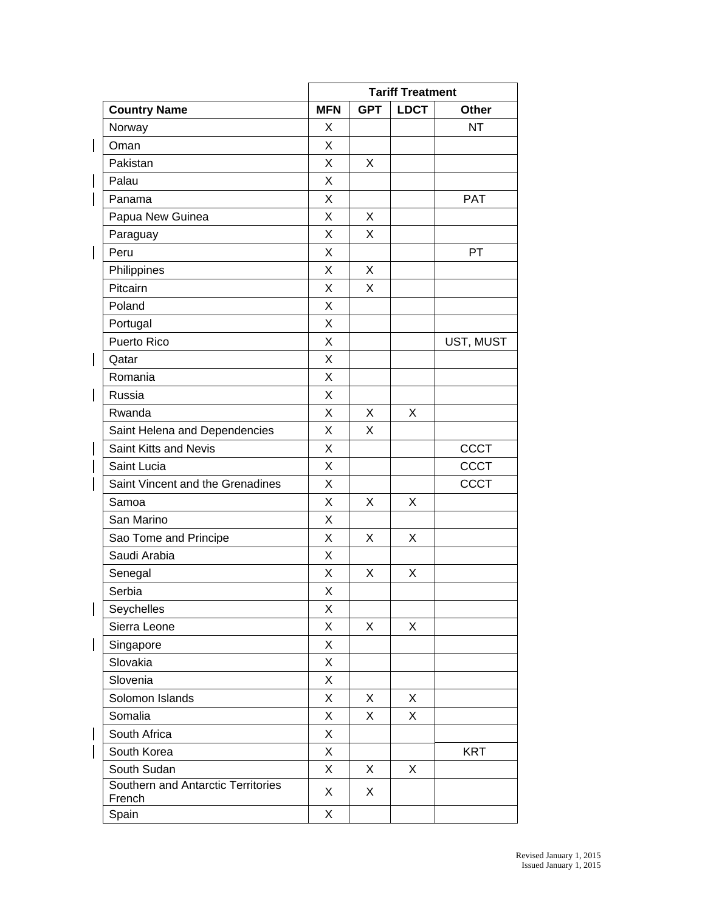|                                              | <b>Tariff Treatment</b> |            |             |             |
|----------------------------------------------|-------------------------|------------|-------------|-------------|
| <b>Country Name</b>                          | <b>MFN</b>              | <b>GPT</b> | <b>LDCT</b> | Other       |
| Norway                                       | X                       |            |             | <b>NT</b>   |
| Oman                                         | X                       |            |             |             |
| Pakistan                                     | X                       | X          |             |             |
| Palau                                        | X                       |            |             |             |
| Panama                                       | X                       |            |             | <b>PAT</b>  |
| Papua New Guinea                             | X                       | X          |             |             |
| Paraguay                                     | X                       | X          |             |             |
| Peru                                         | X                       |            |             | PT          |
| Philippines                                  | X                       | X          |             |             |
| Pitcairn                                     | X                       | X          |             |             |
| Poland                                       | X                       |            |             |             |
| Portugal                                     | X                       |            |             |             |
| Puerto Rico                                  | X                       |            |             | UST, MUST   |
| Qatar                                        | X                       |            |             |             |
| Romania                                      | X                       |            |             |             |
| Russia                                       | X                       |            |             |             |
| Rwanda                                       | X                       | X          | X           |             |
| Saint Helena and Dependencies                | X                       | X          |             |             |
| Saint Kitts and Nevis                        | X                       |            |             | <b>CCCT</b> |
| Saint Lucia                                  | X                       |            |             | <b>CCCT</b> |
| Saint Vincent and the Grenadines             | X                       |            |             | CCCT        |
| Samoa                                        | X                       | X          | X           |             |
| San Marino                                   | X                       |            |             |             |
| Sao Tome and Principe                        | X                       | X          | X           |             |
| Saudi Arabia                                 | X                       |            |             |             |
| Senegal                                      | X                       | X          | X           |             |
| Serbia                                       | X                       |            |             |             |
| Seychelles                                   | Χ                       |            |             |             |
| Sierra Leone                                 | X                       | X          | X           |             |
| Singapore                                    | X                       |            |             |             |
| Slovakia                                     | X                       |            |             |             |
| Slovenia                                     | X                       |            |             |             |
| Solomon Islands                              | X                       | X          | X           |             |
| Somalia                                      | X                       | X          | X           |             |
| South Africa                                 | X                       |            |             |             |
| South Korea                                  | X                       |            |             | <b>KRT</b>  |
| South Sudan                                  | X                       | X          | X           |             |
| Southern and Antarctic Territories<br>French | X                       | X          |             |             |
| Spain                                        | X                       |            |             |             |